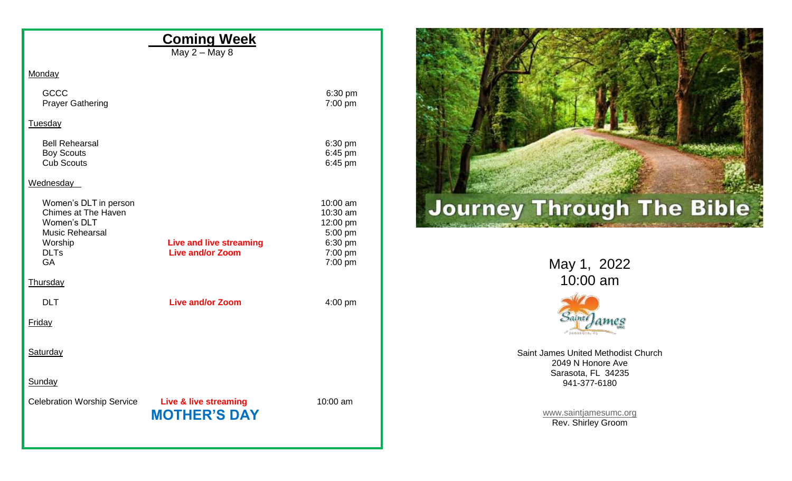| <b>Coming Week</b><br>May $2 -$ May 8                                                                                              |                                                        |                                                          |
|------------------------------------------------------------------------------------------------------------------------------------|--------------------------------------------------------|----------------------------------------------------------|
| Monday                                                                                                                             |                                                        |                                                          |
| GCCC<br><b>Prayer Gathering</b>                                                                                                    | 6:30 pm<br>7:00 pm                                     |                                                          |
| Tuesday                                                                                                                            |                                                        |                                                          |
| <b>Bell Rehearsal</b><br><b>Boy Scouts</b><br><b>Cub Scouts</b>                                                                    | 6:30 pm<br>6:45 pm<br>6:45 pm                          |                                                          |
| Wednesday                                                                                                                          |                                                        |                                                          |
| Women's DLT in person<br>Chimes at The Haven<br>Women's DLT<br><b>Music Rehearsal</b><br>Worship<br><b>Live and live streaming</b> | 10:00 am<br>10:30 am<br>12:00 pm<br>5:00 pm<br>6:30 pm | <b>Journey Through The Bible</b>                         |
| <b>Live and/or Zoom</b><br><b>DLTs</b><br>GA                                                                                       | 7:00 pm<br>7:00 pm                                     | May 1, 2022                                              |
| Thursday                                                                                                                           |                                                        | 10:00 am                                                 |
| <b>DLT</b><br><b>Live and/or Zoom</b>                                                                                              | $4:00$ pm                                              |                                                          |
| Friday                                                                                                                             |                                                        | Saint James<br>$-54046078$                               |
| Saturday                                                                                                                           |                                                        | Saint James United Methodist Church<br>2049 N Honore Ave |
| Sunday                                                                                                                             |                                                        | Sarasota, FL 34235<br>941-377-6180                       |
| <b>Live &amp; live streaming</b><br><b>Celebration Worship Service</b><br><b>MOTHER'S DAY</b>                                      | 10:00 am                                               | www.saintjamesumc.org<br>Rev. Shirley Groom              |